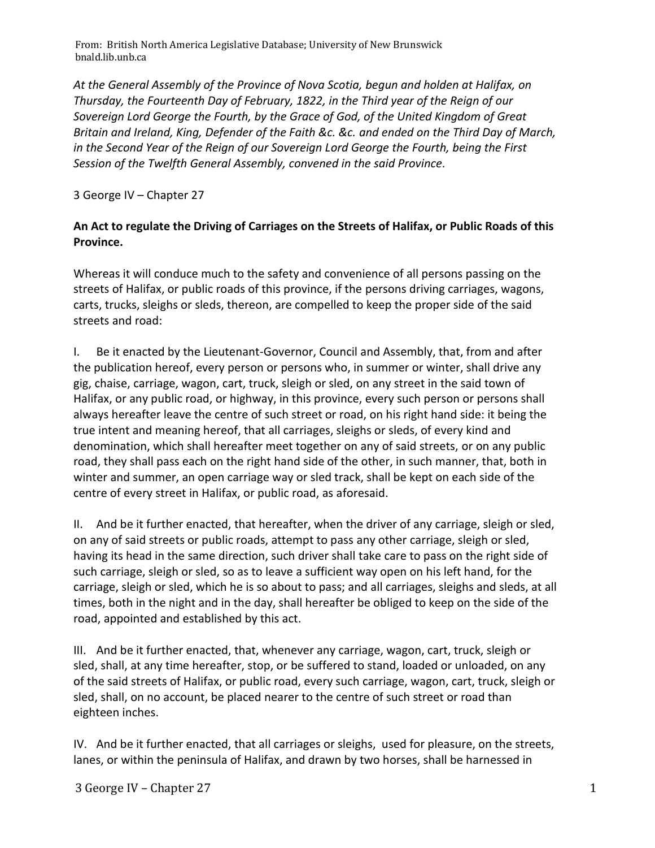From: British North America Legislative Database; University of New Brunswick bnald.lib.unb.ca

*At the General Assembly of the Province of Nova Scotia, begun and holden at Halifax, on Thursday, the Fourteenth Day of February, 1822, in the Third year of the Reign of our Sovereign Lord George the Fourth, by the Grace of God, of the United Kingdom of Great Britain and Ireland, King, Defender of the Faith &c. &c. and ended on the Third Day of March, in the Second Year of the Reign of our Sovereign Lord George the Fourth, being the First Session of the Twelfth General Assembly, convened in the said Province.*

3 George IV – Chapter 27

## **An Act to regulate the Driving of Carriages on the Streets of Halifax, or Public Roads of this Province.**

Whereas it will conduce much to the safety and convenience of all persons passing on the streets of Halifax, or public roads of this province, if the persons driving carriages, wagons, carts, trucks, sleighs or sleds, thereon, are compelled to keep the proper side of the said streets and road:

I. Be it enacted by the Lieutenant-Governor, Council and Assembly, that, from and after the publication hereof, every person or persons who, in summer or winter, shall drive any gig, chaise, carriage, wagon, cart, truck, sleigh or sled, on any street in the said town of Halifax, or any public road, or highway, in this province, every such person or persons shall always hereafter leave the centre of such street or road, on his right hand side: it being the true intent and meaning hereof, that all carriages, sleighs or sleds, of every kind and denomination, which shall hereafter meet together on any of said streets, or on any public road, they shall pass each on the right hand side of the other, in such manner, that, both in winter and summer, an open carriage way or sled track, shall be kept on each side of the centre of every street in Halifax, or public road, as aforesaid.

II. And be it further enacted, that hereafter, when the driver of any carriage, sleigh or sled, on any of said streets or public roads, attempt to pass any other carriage, sleigh or sled, having its head in the same direction, such driver shall take care to pass on the right side of such carriage, sleigh or sled, so as to leave a sufficient way open on his left hand, for the carriage, sleigh or sled, which he is so about to pass; and all carriages, sleighs and sleds, at all times, both in the night and in the day, shall hereafter be obliged to keep on the side of the road, appointed and established by this act.

III. And be it further enacted, that, whenever any carriage, wagon, cart, truck, sleigh or sled, shall, at any time hereafter, stop, or be suffered to stand, loaded or unloaded, on any of the said streets of Halifax, or public road, every such carriage, wagon, cart, truck, sleigh or sled, shall, on no account, be placed nearer to the centre of such street or road than eighteen inches.

IV. And be it further enacted, that all carriages or sleighs, used for pleasure, on the streets, lanes, or within the peninsula of Halifax, and drawn by two horses, shall be harnessed in